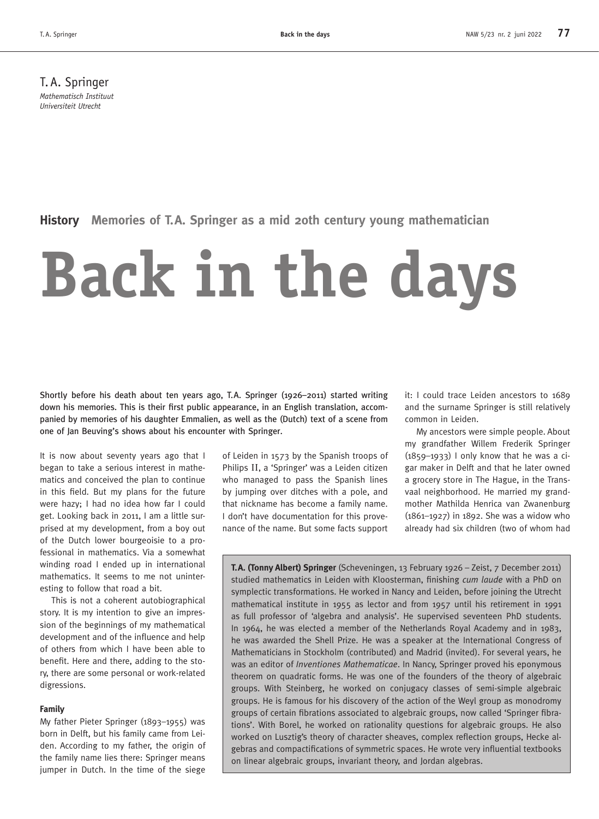T.A. Springer *Mathematisch Instituut Universiteit Utrecht*

**History Memories of T.A. Springer as a mid 20th century young mathematician**

# **Back in the days**

Shortly before his death about ten years ago, T.A. Springer (1926–2011) started writing down his memories. This is their first public appearance, in an English translation, accompanied by memories of his daughter Emmalien, as well as the (Dutch) text of a scene from one of Jan Beuving's shows about his encounter with Springer.

It is now about seventy years ago that I began to take a serious interest in mathematics and conceived the plan to continue in this field. But my plans for the future were hazy; I had no idea how far I could get. Looking back in 2011, I am a little surprised at my development, from a boy out of the Dutch lower bourgeoisie to a professional in mathematics. Via a somewhat winding road I ended up in international mathematics. It seems to me not uninteresting to follow that road a bit.

This is not a coherent autobiographical story. It is my intention to give an impression of the beginnings of my mathematical development and of the influence and help of others from which I have been able to benefit. Here and there, adding to the story, there are some personal or work-related digressions.

## **Family**

My father Pieter Springer (1893–1955) was born in Delft, but his family came from Leiden. According to my father, the origin of the family name lies there: Springer means jumper in Dutch. In the time of the siege

of Leiden in 1573 by the Spanish troops of Philips II, a 'Springer' was a Leiden citizen who managed to pass the Spanish lines by jumping over ditches with a pole, and that nickname has become a family name. I don't have documentation for this provenance of the name. But some facts support

it: I could trace Leiden ancestors to 1689 and the surname Springer is still relatively common in Leiden.

My ancestors were simple people. About my grandfather Willem Frederik Springer (1859–1933) I only know that he was a cigar maker in Delft and that he later owned a grocery store in The Hague, in the Transvaal neighborhood. He married my grandmother Mathilda Henrica van Zwanenburg (1861–1927) in 1892. She was a widow who already had six children (two of whom had

**T.A. (Tonny Albert) Springer** (Scheveningen, 13 February 1926 – Zeist, 7 December 2011) studied mathematics in Leiden with Kloosterman, finishing *cum laude* with a PhD on symplectic transformations. He worked in Nancy and Leiden, before joining the Utrecht mathematical institute in 1955 as lector and from 1957 until his retirement in 1991 as full professor of 'algebra and analysis'. He supervised seventeen PhD students. In 1964, he was elected a member of the Netherlands Royal Academy and in 1983, he was awarded the Shell Prize. He was a speaker at the International Congress of Mathematicians in Stockholm (contributed) and Madrid (invited). For several years, he was an editor of *Inventiones Mathematicae*. In Nancy, Springer proved his eponymous theorem on quadratic forms. He was one of the founders of the theory of algebraic groups. With Steinberg, he worked on conjugacy classes of semi-simple algebraic groups. He is famous for his discovery of the action of the Weyl group as monodromy groups of certain fibrations associated to algebraic groups, now called 'Springer fibrations'. With Borel, he worked on rationality questions for algebraic groups. He also worked on Lusztig's theory of character sheaves, complex reflection groups, Hecke algebras and compactifications of symmetric spaces. He wrote very influential textbooks on linear algebraic groups, invariant theory, and Jordan algebras.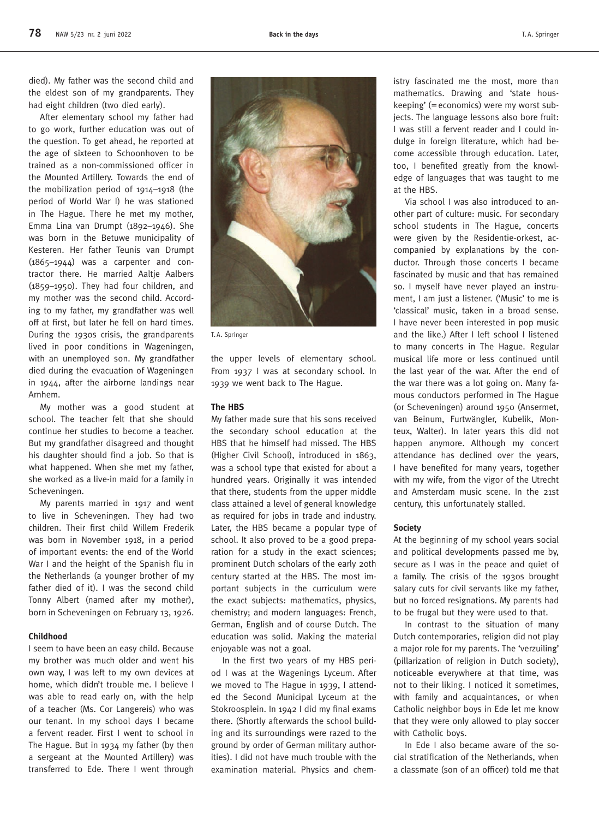died). My father was the second child and the eldest son of my grandparents. They had eight children (two died early).

After elementary school my father had to go work, further education was out of the question. To get ahead, he reported at the age of sixteen to Schoonhoven to be trained as a non-commissioned officer in the Mounted Artillery. Towards the end of the mobilization period of 1914–1918 (the period of World War I) he was stationed in The Hague. There he met my mother, Emma Lina van Drumpt (1892–1946). She was born in the Betuwe municipality of Kesteren. Her father Teunis van Drumpt (1865–1944) was a carpenter and contractor there. He married Aaltje Aalbers (1859–1950). They had four children, and my mother was the second child. According to my father, my grandfather was well off at first, but later he fell on hard times. During the 1930s crisis, the grandparents lived in poor conditions in Wageningen, with an unemployed son. My grandfather died during the evacuation of Wageningen in 1944, after the airborne landings near Arnhem.

My mother was a good student at school. The teacher felt that she should continue her studies to become a teacher. But my grandfather disagreed and thought his daughter should find a job. So that is what happened. When she met my father, she worked as a live-in maid for a family in Scheveningen.

My parents married in 1917 and went to live in Scheveningen. They had two children. Their first child Willem Frederik was born in November 1918, in a period of important events: the end of the World War I and the height of the Spanish flu in the Netherlands (a younger brother of my father died of it). I was the second child Tonny Albert (named after my mother), born in Scheveningen on February 13, 1926.

#### **Childhood**

I seem to have been an easy child. Because my brother was much older and went his own way, I was left to my own devices at home, which didn't trouble me. I believe I was able to read early on, with the help of a teacher (Ms. Cor Langereis) who was our tenant. In my school days I became a fervent reader. First I went to school in The Hague. But in 1934 my father (by then a sergeant at the Mounted Artillery) was transferred to Ede. There I went through



T.A. Springer

the upper levels of elementary school. From 1937 I was at secondary school. In 1939 we went back to The Hague.

#### **The HBS**

My father made sure that his sons received the secondary school education at the HBS that he himself had missed. The HBS (Higher Civil School), introduced in 1863, was a school type that existed for about a hundred years. Originally it was intended that there, students from the upper middle class attained a level of general knowledge as required for jobs in trade and industry. Later, the HBS became a popular type of school. It also proved to be a good preparation for a study in the exact sciences; prominent Dutch scholars of the early 20th century started at the HBS. The most important subjects in the curriculum were the exact subjects: mathematics, physics, chemistry; and modern languages: French, German, English and of course Dutch. The education was solid. Making the material enjoyable was not a goal.

In the first two years of my HBS period I was at the Wagenings Lyceum. After we moved to The Hague in 1939, I attended the Second Municipal Lyceum at the Stokroosplein. In 1942 I did my final exams there. (Shortly afterwards the school building and its surroundings were razed to the ground by order of German military authorities). I did not have much trouble with the examination material. Physics and chemistry fascinated me the most, more than mathematics. Drawing and 'state houskeeping' (=economics) were my worst subjects. The language lessons also bore fruit: I was still a fervent reader and I could indulge in foreign literature, which had become accessible through education. Later, too, I benefited greatly from the knowledge of languages that was taught to me at the HBS.

Via school I was also introduced to another part of culture: music. For secondary school students in The Hague, concerts were given by the Residentie-orkest, accompanied by explanations by the conductor. Through those concerts I became fascinated by music and that has remained so. I myself have never played an instrument, I am just a listener. ('Music' to me is 'classical' music, taken in a broad sense. I have never been interested in pop music and the like.) After I left school I listened to many concerts in The Hague. Regular musical life more or less continued until the last year of the war. After the end of the war there was a lot going on. Many famous conductors performed in The Hague (or Scheveningen) around 1950 (Ansermet, van Beinum, Furtwängler, Kubelik, Monteux, Walter). In later years this did not happen anymore. Although my concert attendance has declined over the years, I have benefited for many years, together with my wife, from the vigor of the Utrecht and Amsterdam music scene. In the 21st century, this unfortunately stalled.

#### **Society**

At the beginning of my school years social and political developments passed me by, secure as I was in the peace and quiet of a family. The crisis of the 1930s brought salary cuts for civil servants like my father, but no forced resignations. My parents had to be frugal but they were used to that.

In contrast to the situation of many Dutch contemporaries, religion did not play a major role for my parents. The 'verzuiling' (pillarization of religion in Dutch society), noticeable everywhere at that time, was not to their liking. I noticed it sometimes, with family and acquaintances, or when Catholic neighbor boys in Ede let me know that they were only allowed to play soccer with Catholic boys.

In Ede I also became aware of the social stratification of the Netherlands, when a classmate (son of an officer) told me that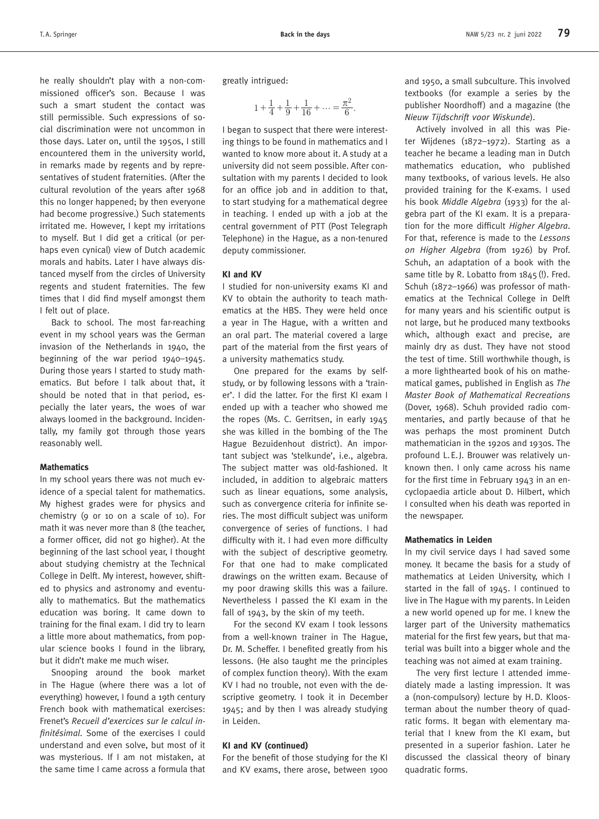he really shouldn't play with a non-commissioned officer's son. Because I was such a smart student the contact was still permissible. Such expressions of social discrimination were not uncommon in those days. Later on, until the 1950s, I still encountered them in the university world, in remarks made by regents and by representatives of student fraternities. (After the cultural revolution of the years after 1968 this no longer happened; by then everyone had become progressive.) Such statements irritated me. However, I kept my irritations to myself. But I did get a critical (or perhaps even cynical) view of Dutch academic morals and habits. Later I have always distanced myself from the circles of University regents and student fraternities. The few times that I did find myself amongst them I felt out of place.

Back to school. The most far-reaching event in my school years was the German invasion of the Netherlands in 1940, the beginning of the war period 1940–1945. During those years I started to study mathematics. But before I talk about that, it should be noted that in that period, especially the later years, the woes of war always loomed in the background. Incidentally, my family got through those years reasonably well.

#### **Mathematics**

In my school years there was not much evidence of a special talent for mathematics. My highest grades were for physics and chemistry (9 or 10 on a scale of 10). For math it was never more than 8 (the teacher, a former officer, did not go higher). At the beginning of the last school year, I thought about studying chemistry at the Technical College in Delft. My interest, however, shifted to physics and astronomy and eventually to mathematics. But the mathematics education was boring. It came down to training for the final exam. I did try to learn a little more about mathematics, from popular science books I found in the library, but it didn't make me much wiser.

Snooping around the book market in The Hague (where there was a lot of everything) however, I found a 19th century French book with mathematical exercises: Frenet's *Recueil d'exercices sur le calcul infinitésimal*. Some of the exercises I could understand and even solve, but most of it was mysterious. If I am not mistaken, at the same time I came across a formula that

greatly intrigued:

$$
1 + \frac{1}{4} + \frac{1}{9} + \frac{1}{16} + \dots = \frac{\pi^2}{6}.
$$

I began to suspect that there were interesting things to be found in mathematics and I wanted to know more about it. A study at a university did not seem possible. After consultation with my parents I decided to look for an office job and in addition to that, to start studying for a mathematical degree in teaching. I ended up with a job at the central government of PTT (Post Telegraph Telephone) in the Hague, as a non-tenured deputy commissioner.

## **KI and KV**

I studied for non-university exams KI and KV to obtain the authority to teach mathematics at the HBS. They were held once a year in The Hague, with a written and an oral part. The material covered a large part of the material from the first years of a university mathematics study.

One prepared for the exams by selfstudy, or by following lessons with a 'trainer'. I did the latter. For the first KI exam I ended up with a teacher who showed me the ropes (Ms. C. Gerritsen, in early 1945 she was killed in the bombing of the The Hague Bezuidenhout district). An important subject was 'stelkunde', i.e., algebra. The subject matter was old-fashioned. It included, in addition to algebraic matters such as linear equations, some analysis, such as convergence criteria for infinite series. The most difficult subject was uniform convergence of series of functions. I had difficulty with it. I had even more difficulty with the subject of descriptive geometry. For that one had to make complicated drawings on the written exam. Because of my poor drawing skills this was a failure. Nevertheless I passed the KI exam in the fall of 1943, by the skin of my teeth.

For the second KV exam I took lessons from a well-known trainer in The Hague, Dr. M. Scheffer. I benefited greatly from his lessons. (He also taught me the principles of complex function theory). With the exam KV I had no trouble, not even with the descriptive geometry. I took it in December 1945; and by then I was already studying in Leiden.

# **KI and KV (continued)**

For the benefit of those studying for the KI and KV exams, there arose, between 1900 and 1950, a small subculture. This involved textbooks (for example a series by the publisher Noordhoff) and a magazine (the *Nieuw Tijdschrift voor Wiskunde*).

Actively involved in all this was Pieter Wijdenes (1872–1972). Starting as a teacher he became a leading man in Dutch mathematics education, who published many textbooks, of various levels. He also provided training for the K-exams. I used his book *Middle Algebra* (1933) for the algebra part of the KI exam. It is a preparation for the more difficult *Higher Algebra*. For that, reference is made to the *Lessons on Higher Algebra* (from 1926) by Prof. Schuh, an adaptation of a book with the same title by R. Lobatto from 1845(!). Fred. Schuh (1872–1966) was professor of mathematics at the Technical College in Delft for many years and his scientific output is not large, but he produced many textbooks which, although exact and precise, are mainly dry as dust. They have not stood the test of time. Still worthwhile though, is a more lighthearted book of his on mathematical games, published in English as *The Master Book of Mathematical Recreations* (Dover, 1968). Schuh provided radio commentaries, and partly because of that he was perhaps the most prominent Dutch mathematician in the 1920s and 1930s. The profound L.E.J. Brouwer was relatively unknown then. I only came across his name for the first time in February 1943 in an encyclopaedia article about D. Hilbert, which I consulted when his death was reported in the newspaper.

## **Mathematics in Leiden**

In my civil service days I had saved some money. It became the basis for a study of mathematics at Leiden University, which I started in the fall of 1945. I continued to live in The Hague with my parents. In Leiden a new world opened up for me. I knew the larger part of the University mathematics material for the first few years, but that material was built into a bigger whole and the teaching was not aimed at exam training.

The very first lecture I attended immediately made a lasting impression. It was a (non-compulsory) lecture by H.D. Kloosterman about the number theory of quadratic forms. It began with elementary material that I knew from the KI exam, but presented in a superior fashion. Later he discussed the classical theory of binary quadratic forms.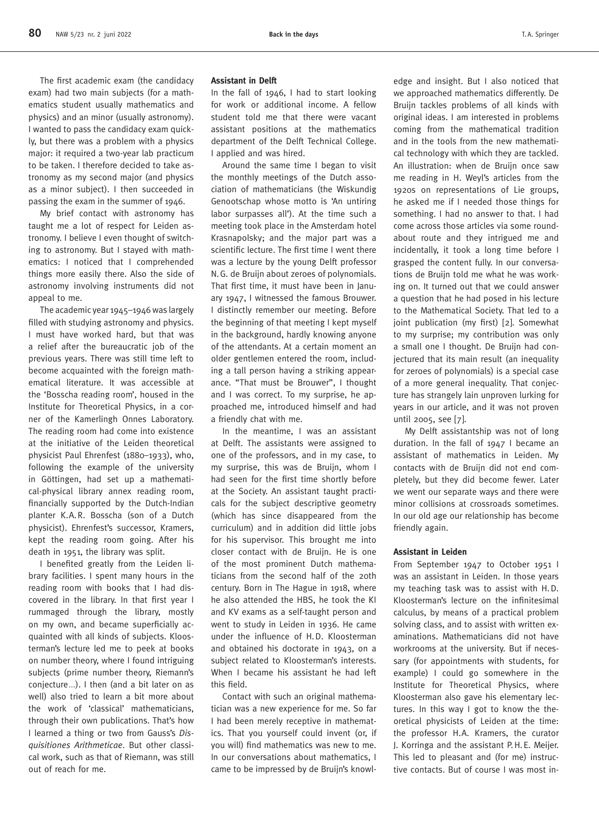The first academic exam (the candidacy exam) had two main subjects (for a mathematics student usually mathematics and physics) and an minor (usually astronomy). I wanted to pass the candidacy exam quickly, but there was a problem with a physics major: it required a two-year lab practicum to be taken. I therefore decided to take astronomy as my second major (and physics as a minor subject). I then succeeded in passing the exam in the summer of 1946.

My brief contact with astronomy has taught me a lot of respect for Leiden astronomy. I believe I even thought of switching to astronomy. But I stayed with mathematics: I noticed that I comprehended things more easily there. Also the side of astronomy involving instruments did not appeal to me.

The academic year 1945–1946 was largely filled with studying astronomy and physics. I must have worked hard, but that was a relief after the bureaucratic job of the previous years. There was still time left to become acquainted with the foreign mathematical literature. It was accessible at the 'Bosscha reading room', housed in the Institute for Theoretical Physics, in a corner of the Kamerlingh Onnes Laboratory. The reading room had come into existence at the initiative of the Leiden theoretical physicist Paul Ehrenfest (1880–1933), who, following the example of the university in Göttingen, had set up a mathematical-physical library annex reading room, financially supported by the Dutch-Indian planter K.A.R. Bosscha (son of a Dutch physicist). Ehrenfest's successor, Kramers, kept the reading room going. After his death in 1951, the library was split.

I benefited greatly from the Leiden library facilities. I spent many hours in the reading room with books that I had discovered in the library. In that first year I rummaged through the library, mostly on my own, and became superficially acquainted with all kinds of subjects. Kloosterman's lecture led me to peek at books on number theory, where I found intriguing subjects (prime number theory, Riemann's conjecture*...*). I then (and a bit later on as well) also tried to learn a bit more about the work of 'classical' mathematicians, through their own publications. That's how I learned a thing or two from Gauss's *Disquisitiones Arithmeticae*. But other classical work, such as that of Riemann, was still out of reach for me.

# **Assistant in Delft**

In the fall of 1946, I had to start looking for work or additional income. A fellow student told me that there were vacant assistant positions at the mathematics department of the Delft Technical College. I applied and was hired.

Around the same time I began to visit the monthly meetings of the Dutch association of mathematicians (the Wiskundig Genootschap whose motto is 'An untiring labor surpasses all'). At the time such a meeting took place in the Amsterdam hotel Krasnapolsky; and the major part was a scientific lecture. The first time I went there was a lecture by the young Delft professor N.G. de Bruijn about zeroes of polynomials. That first time, it must have been in January 1947, I witnessed the famous Brouwer. I distinctly remember our meeting. Before the beginning of that meeting I kept myself in the background, hardly knowing anyone of the attendants. At a certain moment an older gentlemen entered the room, including a tall person having a striking appearance. "That must be Brouwer", I thought and I was correct. To my surprise, he approached me, introduced himself and had a friendly chat with me.

In the meantime, I was an assistant at Delft. The assistants were assigned to one of the professors, and in my case, to my surprise, this was de Bruijn, whom I had seen for the first time shortly before at the Society. An assistant taught practicals for the subject descriptive geometry (which has since disappeared from the curriculum) and in addition did little jobs for his supervisor. This brought me into closer contact with de Bruijn. He is one of the most prominent Dutch mathematicians from the second half of the 20th century. Born in The Hague in 1918, where he also attended the HBS, he took the KI and KV exams as a self-taught person and went to study in Leiden in 1936. He came under the influence of H.D. Kloosterman and obtained his doctorate in 1943, on a subject related to Kloosterman's interests. When I became his assistant he had left this field.

Contact with such an original mathematician was a new experience for me. So far I had been merely receptive in mathematics. That you yourself could invent (or, if you will) find mathematics was new to me. In our conversations about mathematics, I came to be impressed by de Bruijn's knowledge and insight. But I also noticed that we approached mathematics differently. De Bruijn tackles problems of all kinds with original ideas. I am interested in problems coming from the mathematical tradition and in the tools from the new mathematical technology with which they are tackled. An illustration: when de Bruijn once saw me reading in H. Weyl's articles from the 1920s on representations of Lie groups, he asked me if I needed those things for something. I had no answer to that. I had come across those articles via some roundabout route and they intrigued me and incidentally, it took a long time before I grasped the content fully. In our conversations de Bruijn told me what he was working on. It turned out that we could answer a question that he had posed in his lecture to the Mathematical Society. That led to a joint publication (my first) [2]. Somewhat to my surprise; my contribution was only a small one I thought. De Bruijn had conjectured that its main result (an inequality for zeroes of polynomials) is a special case of a more general inequality. That conjecture has strangely lain unproven lurking for years in our article, and it was not proven until 2005, see [7].

My Delft assistantship was not of long duration. In the fall of 1947 I became an assistant of mathematics in Leiden. My contacts with de Bruijn did not end completely, but they did become fewer. Later we went our separate ways and there were minor collisions at crossroads sometimes. In our old age our relationship has become friendly again.

## **Assistant in Leiden**

From September 1947 to October 1951 I was an assistant in Leiden. In those years my teaching task was to assist with H.D. Kloosterman's lecture on the infinitesimal calculus, by means of a practical problem solving class, and to assist with written examinations. Mathematicians did not have workrooms at the university. But if necessary (for appointments with students, for example) I could go somewhere in the Institute for Theoretical Physics, where Kloosterman also gave his elementary lectures. In this way I got to know the theoretical physicists of Leiden at the time: the professor H.A. Kramers, the curator J. Korringa and the assistant P.H.E. Meijer. This led to pleasant and (for me) instructive contacts. But of course I was most in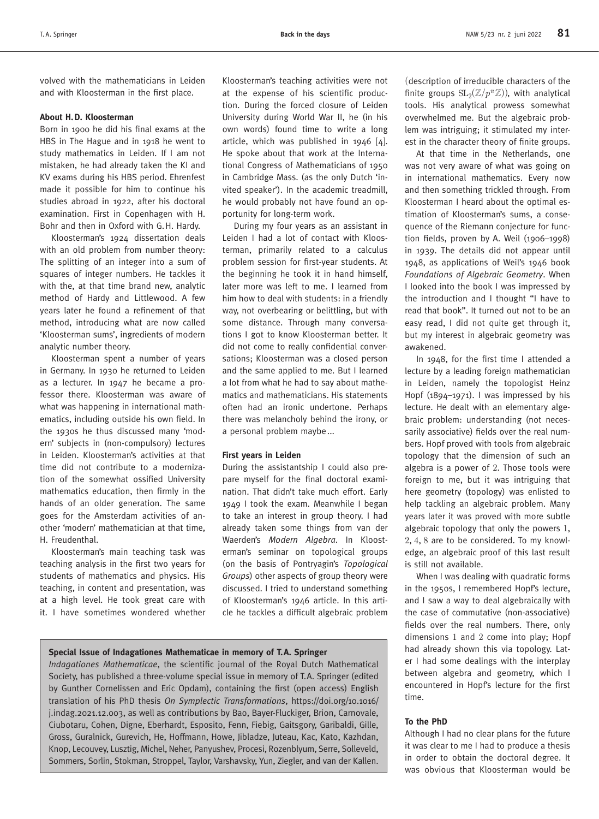volved with the mathematicians in Leiden and with Kloosterman in the first place.

#### **About H.D. Kloosterman**

Born in 1900 he did his final exams at the HBS in The Hague and in 1918 he went to study mathematics in Leiden. If I am not mistaken, he had already taken the KI and KV exams during his HBS period. Ehrenfest made it possible for him to continue his studies abroad in 1922, after his doctoral examination. First in Copenhagen with H. Bohr and then in Oxford with G.H. Hardy.

Kloosterman's 1924 dissertation deals with an old problem from number theory: The splitting of an integer into a sum of squares of integer numbers. He tackles it with the, at that time brand new, analytic method of Hardy and Littlewood. A few years later he found a refinement of that method, introducing what are now called 'Kloosterman sums', ingredients of modern analytic number theory.

Kloosterman spent a number of years in Germany. In 1930 he returned to Leiden as a lecturer. In 1947 he became a professor there. Kloosterman was aware of what was happening in international mathematics, including outside his own field. In the 1930s he thus discussed many 'modern' subjects in (non-compulsory) lectures in Leiden. Kloosterman's activities at that time did not contribute to a modernization of the somewhat ossified University mathematics education, then firmly in the hands of an older generation. The same goes for the Amsterdam activities of another 'modern' mathematician at that time, H. Freudenthal.

Kloosterman's main teaching task was teaching analysis in the first two years for students of mathematics and physics. His teaching, in content and presentation, was at a high level. He took great care with it. I have sometimes wondered whether

Kloosterman's teaching activities were not at the expense of his scientific production. During the forced closure of Leiden University during World War II, he (in his own words) found time to write a long article, which was published in 1946 [4]. He spoke about that work at the International Congress of Mathematicians of 1950 in Cambridge Mass. (as the only Dutch 'invited speaker'). In the academic treadmill, he would probably not have found an opportunity for long-term work.

During my four years as an assistant in Leiden I had a lot of contact with Kloosterman, primarily related to a calculus problem session for first-year students. At the beginning he took it in hand himself, later more was left to me. I learned from him how to deal with students: in a friendly way, not overbearing or belittling, but with some distance. Through many conversations I got to know Kloosterman better. It did not come to really confidential conversations; Kloosterman was a closed person and the same applied to me. But I learned a lot from what he had to say about mathematics and mathematicians. His statements often had an ironic undertone. Perhaps there was melancholy behind the irony, or a personal problem maybe...

### **First years in Leiden**

During the assistantship I could also prepare myself for the final doctoral examination. That didn't take much effort. Early 1949 I took the exam. Meanwhile I began to take an interest in group theory. I had already taken some things from van der Waerden's *Modern Algebra*. In Kloosterman's seminar on topological groups (on the basis of Pontryagin's *Topological Groups*) other aspects of group theory were discussed. I tried to understand something of Kloosterman's 1946 article. In this article he tackles a difficult algebraic problem

## **Special Issue of Indagationes Mathematicae in memory of T.A. Springer**

*Indagationes Mathematicae*, the scientific journal of the Royal Dutch Mathematical Society, has published a three-volume special issue in memory of T.A. Springer (edited by Gunther Cornelissen and Eric Opdam), containing the first (open access) English translation of his PhD thesis *On Symplectic Transformations*, https://doi.org/10.1016/ [j.indag.2021.12.003, as well as contributions by Bao, Bayer-Fluckiger, Brion, Carnovale,](https://doi.org/10.1016/j.indag.2021.12.003)  Ciubotaru, Cohen, Digne, Eberhardt, Esposito, Fenn, Fiebig, Gaitsgory, Garibaldi, Gille, Gross, Guralnick, Gurevich, He, Hoffmann, Howe, Jibladze, Juteau, Kac, Kato, Kazhdan, Knop, Lecouvey, Lusztig, Michel, Neher, Panyushev, Procesi, Rozenblyum, Serre, Solleveld, Sommers, Sorlin, Stokman, Stroppel, Taylor, Varshavsky, Yun, Ziegler, and van der Kallen.

(description of irreducible characters of the finite groups  $SL_2(\mathbb{Z}/p^n\mathbb{Z})$ ), with analytical tools. His analytical prowess somewhat overwhelmed me. But the algebraic problem was intriguing; it stimulated my interest in the character theory of finite groups.

At that time in the Netherlands, one was not very aware of what was going on in international mathematics. Every now and then something trickled through. From Kloosterman I heard about the optimal estimation of Kloosterman's sums, a consequence of the Riemann conjecture for function fields, proven by A. Weil (1906–1998) in 1939. The details did not appear until 1948, as applications of Weil's 1946 book *Foundations of Algebraic Geometry*. When I looked into the book I was impressed by the introduction and I thought "I have to read that book". It turned out not to be an easy read, I did not quite get through it, but my interest in algebraic geometry was awakened.

In 1948, for the first time I attended a lecture by a leading foreign mathematician in Leiden, namely the topologist Heinz Hopf (1894–1971). I was impressed by his lecture. He dealt with an elementary algebraic problem: understanding (not necessarily associative) fields over the real numbers. Hopf proved with tools from algebraic topology that the dimension of such an algebra is a power of 2. Those tools were foreign to me, but it was intriguing that here geometry (topology) was enlisted to help tackling an algebraic problem. Many years later it was proved with more subtle algebraic topology that only the powers 1, 2, 4, 8 are to be considered. To my knowledge, an algebraic proof of this last result is still not available.

When I was dealing with quadratic forms in the 1950s, I remembered Hopf's lecture, and I saw a way to deal algebraically with the case of commutative (non-associative) fields over the real numbers. There, only dimensions 1 and 2 come into play; Hopf had already shown this via topology. Later I had some dealings with the interplay between algebra and geometry, which I encountered in Hopf's lecture for the first time.

#### **To the PhD**

Although I had no clear plans for the future it was clear to me I had to produce a thesis in order to obtain the doctoral degree. It was obvious that Kloosterman would be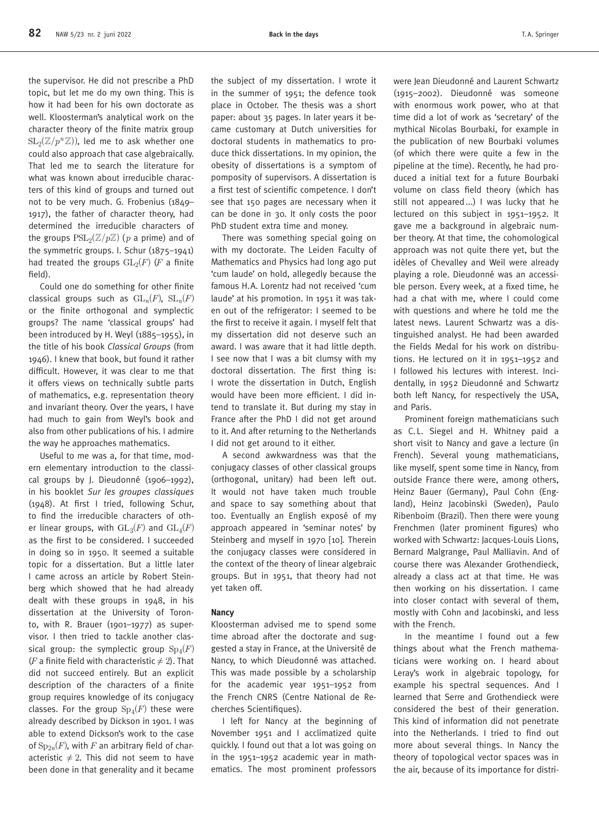the supervisor. He did not prescribe a PhD topic, but let me do my own thing. This is how it had been for his own doctorate as well. Kloosterman's analytical work on the character theory of the finite matrix group  $SL_2(\mathbb{Z}/p^n\mathbb{Z})$ , led me to ask whether one could also approach that case algebraically. That led me to search the literature for what was known about irreducible characters of this kind of groups and turned out not to be very much. G. Frobenius (1849– 1917), the father of character theory, had determined the irreducible characters of the groups  $PSL_2(\mathbb{Z}/p\mathbb{Z})$  (*p* a prime) and of the symmetric groups. I. Schur (1875–1941) had treated the groups  $GL_2(F)$  (*F* a finite field).

Could one do something for other finite classical groups such as  $\mathrm{GL}_n(F)$ ,  $\mathrm{SL}_n(F)$ or the finite orthogonal and symplectic groups? The name 'classical groups' had been introduced by H. Weyl (1885–1955), in the title of his book *Classical Groups* (from 1946). I knew that book, but found it rather difficult. However, it was clear to me that it offers views on technically subtle parts of mathematics, e.g. representation theory and invariant theory. Over the years, I have had much to gain from Weyl's book and also from other publications of his. I admire the way he approaches mathematics.

Useful to me was a, for that time, modern elementary introduction to the classical groups by J. Dieudonné (1906–1992), in his booklet *Sur les groupes classiques* (1948). At first I tried, following Schur, to find the irreducible characters of other linear groups, with  $GL_3(F)$  and  $GL_4(F)$ as the first to be considered. I succeeded in doing so in 1950. It seemed a suitable topic for a dissertation. But a little later I came across an article by Robert Steinberg which showed that he had already dealt with these groups in 1948, in his dissertation at the University of Toronto, with R. Brauer (1901–1977) as supervisor. I then tried to tackle another classical group: the symplectic group  $Sp_4(F)$ (*F* a finite field with characteristic  $\neq$  2). That did not succeed entirely. But an explicit description of the characters of a finite group requires knowledge of its conjugacy classes. For the group  $Sp_4(F)$  these were already described by Dickson in 1901. I was able to extend Dickson's work to the case of  $Sp_{2n}(F)$ , with *F* an arbitrary field of characteristic  $\neq 2$ . This did not seem to have been done in that generality and it became

the subject of my dissertation. I wrote it in the summer of 1951; the defence took place in October. The thesis was a short paper: about 35 pages. In later years it became customary at Dutch universities for doctoral students in mathematics to produce thick dissertations. In my opinion, the obesity of dissertations is a symptom of pomposity of supervisors. A dissertation is a first test of scientific competence. I don't see that 150 pages are necessary when it can be done in 30. It only costs the poor PhD student extra time and money.

There was something special going on with my doctorate. The Leiden Faculty of Mathematics and Physics had long ago put 'cum laude' on hold, allegedly because the famous H.A. Lorentz had not received 'cum laude' at his promotion. In 1951 it was taken out of the refrigerator: I seemed to be the first to receive it again. I myself felt that my dissertation did not deserve such an award. I was aware that it had little depth. I see now that I was a bit clumsy with my doctoral dissertation. The first thing is: I wrote the dissertation in Dutch, English would have been more efficient. I did intend to translate it. But during my stay in France after the PhD I did not get around to it. And after returning to the Netherlands I did not get around to it either.

A second awkwardness was that the conjugacy classes of other classical groups (orthogonal, unitary) had been left out. It would not have taken much trouble and space to say something about that too. Eventually an English exposé of my approach appeared in 'seminar notes' by Steinberg and myself in 1970 [10]. Therein the conjugacy classes were considered in the context of the theory of linear algebraic groups. But in 1951, that theory had not yet taken off.

## **Nancy**

Kloosterman advised me to spend some time abroad after the doctorate and suggested a stay in France, at the Université de Nancy, to which Dieudonné was attached. This was made possible by a scholarship for the academic year 1951–1952 from the French CNRS (Centre National de Recherches Scientifiques).

I left for Nancy at the beginning of November 1951 and I acclimatized quite quickly. I found out that a lot was going on in the 1951–1952 academic year in mathematics. The most prominent professors

were Jean Dieudonné and Laurent Schwartz (1915–2002). Dieudonné was someone with enormous work power, who at that time did a lot of work as 'secretary' of the mythical Nicolas Bourbaki, for example in the publication of new Bourbaki volumes (of which there were quite a few in the pipeline at the time). Recently, he had produced a initial text for a future Bourbaki volume on class field theory (which has still not appeared...) I was lucky that he lectured on this subject in 1951–1952. It gave me a background in algebraic number theory. At that time, the cohomological approach was not quite there yet, but the idèles of Chevalley and Weil were already playing a role. Dieudonné was an accessible person. Every week, at a fixed time, he had a chat with me, where I could come with questions and where he told me the latest news. Laurent Schwartz was a distinguished analyst. He had been awarded the Fields Medal for his work on distributions. He lectured on it in 1951–1952 and I followed his lectures with interest. Incidentally, in 1952 Dieudonné and Schwartz both left Nancy, for respectively the USA, and Paris.

Prominent foreign mathematicians such as C.L. Siegel and H. Whitney paid a short visit to Nancy and gave a lecture (in French). Several young mathematicians, like myself, spent some time in Nancy, from outside France there were, among others, Heinz Bauer (Germany), Paul Cohn (England), Heinz Jacobinski (Sweden), Paulo Ribenboim (Brazil). Then there were young Frenchmen (later prominent figures) who worked with Schwartz: Jacques-Louis Lions, Bernard Malgrange, Paul Malliavin. And of course there was Alexander Grothendieck, already a class act at that time. He was then working on his dissertation. I came into closer contact with several of them, mostly with Cohn and Jacobinski, and less with the French.

In the meantime I found out a few things about what the French mathematicians were working on. I heard about Leray's work in algebraic topology, for example his spectral sequences. And I learned that Serre and Grothendieck were considered the best of their generation. This kind of information did not penetrate into the Netherlands. I tried to find out more about several things. In Nancy the theory of topological vector spaces was in the air, because of its importance for distri-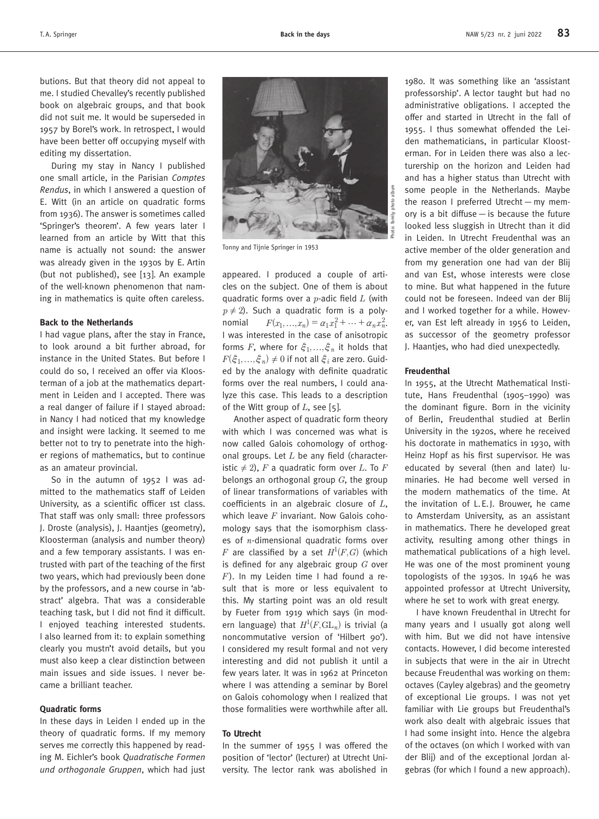butions. But that theory did not appeal to me. I studied Chevalley's recently published book on algebraic groups, and that book did not suit me. It would be superseded in 1957 by Borel's work. In retrospect, I would have been better off occupying myself with editing my dissertation.

During my stay in Nancy I published one small article, in the Parisian *Comptes Rendus*, in which I answered a question of E. Witt (in an article on quadratic forms from 1936). The answer is sometimes called 'Springer's theorem'. A few years later I learned from an article by Witt that this name is actually not sound: the answer was already given in the 1930s by E. Artin (but not published), see [13]. An example of the well-known phenomenon that naming in mathematics is quite often careless.

#### **Back to the Netherlands**

I had vague plans, after the stay in France, to look around a bit further abroad, for instance in the United States. But before I could do so, I received an offer via Kloosterman of a job at the mathematics department in Leiden and I accepted. There was a real danger of failure if I stayed abroad: in Nancy I had noticed that my knowledge and insight were lacking. It seemed to me better not to try to penetrate into the higher regions of mathematics, but to continue as an amateur provincial.

So in the autumn of 1952 I was admitted to the mathematics staff of Leiden University, as a scientific officer 1st class. That staff was only small: three professors J. Droste (analysis), J. Haantjes (geometry), Kloosterman (analysis and number theory) and a few temporary assistants. I was entrusted with part of the teaching of the first two years, which had previously been done by the professors, and a new course in 'abstract' algebra. That was a considerable teaching task, but I did not find it difficult. I enjoyed teaching interested students. I also learned from it: to explain something clearly you mustn't avoid details, but you must also keep a clear distinction between main issues and side issues. I never became a brilliant teacher.

#### **Quadratic forms**

In these days in Leiden I ended up in the theory of quadratic forms. If my memory serves me correctly this happened by reading M. Eichler's book *Quadratische Formen und orthogonale Gruppen*, which had just



Tonny and Tijnie Springer in 1953

appeared. I produced a couple of articles on the subject. One of them is about quadratic forms over a *p*-adic field *L* (with  $p \neq 2$ ). Such a quadratic form is a polynomial  $F(x_1, ..., x_n) = \alpha_1 x_1^2 + ... + \alpha_n x_n^2$ . I was interested in the case of anisotropic forms *F*, where for  $\xi_1, ..., \xi_n$  it holds that  $F(\hat{\xi}_1, ..., \hat{\xi}_n) \neq 0$  if not all  $\hat{\xi}_i$  are zero. Guided by the analogy with definite quadratic forms over the real numbers, I could analyze this case. This leads to a description of the Witt group of *L*, see [5].

Another aspect of quadratic form theory with which I was concerned was what is now called Galois cohomology of orthogonal groups. Let *L* be any field (characteristic  $\neq$  2), *F* a quadratic form over *L*. To *F* belongs an orthogonal group *G*, the group of linear transformations of variables with coefficients in an algebraic closure of *L*, which leave *F* invariant. Now Galois cohomology says that the isomorphism classes of *n*-dimensional quadratic forms over *F* are classified by a set  $H^1(F, G)$  (which is defined for any algebraic group *G* over *F*). In my Leiden time I had found a result that is more or less equivalent to this. My starting point was an old result by Fueter from 1919 which says (in modern language) that  $H^1(F,\text{GL}_n)$  is trivial (a noncommutative version of 'Hilbert 90'). I considered my result formal and not very interesting and did not publish it until a few years later. It was in 1962 at Princeton where I was attending a seminar by Borel on Galois cohomology when I realized that those formalities were worthwhile after all.

#### **To Utrecht**

In the summer of 1955 I was offered the position of 'lector' (lecturer) at Utrecht University. The lector rank was abolished in

1980. It was something like an 'assistant professorship'. A lector taught but had no administrative obligations. I accepted the offer and started in Utrecht in the fall of 1955. I thus somewhat offended the Leiden mathematicians, in particular Kloosterman. For in Leiden there was also a lecturership on the horizon and Leiden had and has a higher status than Utrecht with some people in the Netherlands. Maybe the reason I preferred Utrecht—my memory is a bit diffuse  $-$  is because the future looked less sluggish in Utrecht than it did in Leiden. In Utrecht Freudenthal was an active member of the older generation and from my generation one had van der Blij and van Est, whose interests were close to mine. But what happened in the future could not be foreseen. Indeed van der Blij and I worked together for a while. However, van Est left already in 1956 to Leiden, as successor of the geometry professor J. Haantjes, who had died unexpectedly.

#### **Freudenthal**

In 1955, at the Utrecht Mathematical Institute, Hans Freudenthal (1905–1990) was the dominant figure. Born in the vicinity of Berlin, Freudenthal studied at Berlin University in the 1920s, where he received his doctorate in mathematics in 1930, with Heinz Hopf as his first supervisor. He was educated by several (then and later) luminaries. He had become well versed in the modern mathematics of the time. At the invitation of L.E.J. Brouwer, he came to Amsterdam University, as an assistant in mathematics. There he developed great activity, resulting among other things in mathematical publications of a high level. He was one of the most prominent young topologists of the 1930s. In 1946 he was appointed professor at Utrecht University, where he set to work with great energy.

I have known Freudenthal in Utrecht for many years and I usually got along well with him. But we did not have intensive contacts. However, I did become interested in subjects that were in the air in Utrecht because Freudenthal was working on them: octaves (Cayley algebras) and the geometry of exceptional Lie groups. I was not yet familiar with Lie groups but Freudenthal's work also dealt with algebraic issues that I had some insight into. Hence the algebra of the octaves (on which I worked with van der Blij) and of the exceptional Jordan algebras (for which I found a new approach).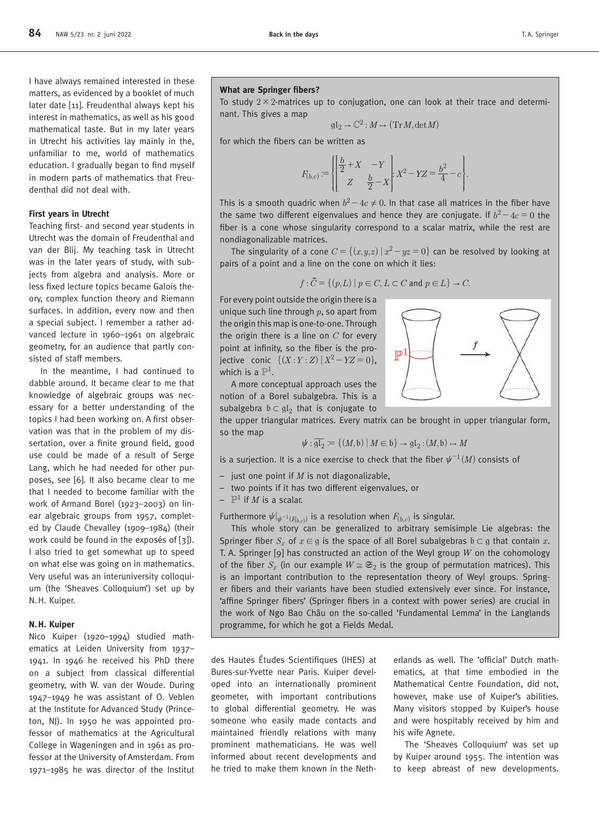I have always remained interested in these matters, as evidenced by a booklet of much later date [11]. Freudenthal always kept his interest in mathematics, as well as his good mathematical taste. But in my later years in Utrecht his activities lay mainly in the, unfamiliar to me, world of mathematics education. I gradually began to find myself in modern parts of mathematics that Freudenthal did not deal with.

# **First years in Utrecht**

Teaching first- and second year students in Utrecht was the domain of Freudenthal and van der Blij. My teaching task in Utrecht was in the later years of study, with subjects from algebra and analysis. More or less fixed lecture topics became Galois theory, complex function theory and Riemann surfaces. In addition, every now and then a special subject. I remember a rather advanced lecture in 1960–1961 on algebraic geometry, for an audience that partly consisted of staff members.

In the meantime, I had continued to dabble around. It became clear to me that knowledge of algebraic groups was necessary for a better understanding of the topics I had been working on. A first observation was that in the problem of my dissertation, over a finite ground field, good use could be made of a result of Serge Lang, which he had needed for other purposes, see [6]. It also became clear to me that I needed to become familiar with the work of Armand Borel (1923–2003) on linear algebraic groups from 1957, completed by Claude Chevalley (1909–1984) (their work could be found in the exposés of [3]). I also tried to get somewhat up to speed on what else was going on in mathematics. Very useful was an interuniversity colloquium (the 'Sheaves Colloquium') set up by N.H. Kuiper.

## **N.H. Kuiper**

Nico Kuiper (1920–1994) studied mathematics at Leiden University from 1937– 1941. In 1946 he received his PhD there on a subject from classical differential geometry, with W. van der Woude. During 1947–1949 he was assistant of O. Veblen at the Institute for Advanced Study (Princeton, NJ). In 1950 he was appointed professor of mathematics at the Agricultural College in Wageningen and in 1961 as professor at the University of Amsterdam. From 1971–1985 he was director of the Institut

#### **What are Springer fibers?**

To study  $2 \times 2$ -matrices up to conjugation, one can look at their trace and determinant. This gives a map

$$
\mathfrak{gl}_2 \to \mathbb{C}^2 : M \mapsto (\mathrm{Tr}\,M, \mathrm{det}\,M)
$$

for which the fibers can be written as

$$
F_{(b,c)} \coloneqq \left\{\!\!\left[\frac{\frac{b}{2} \!+\! X \! \quad -Y}{Z \! \quad \frac{b}{2} \!-\! X}\right]\! \!\!\!\! \right. X^2 \! - YZ \!=\! \frac{b^2}{4} \!- \! c\!\Bigg\}.
$$

This is a smooth quadric when  $b^2 - 4c \neq 0$ . In that case all matrices in the fiber have the same two different eigenvalues and hence they are conjugate. If  $b^2 - 4c = 0$  the fiber is a cone whose singularity correspond to a scalar matrix, while the rest are nondiagonalizable matrices.

The singularity of a cone  $C = \{(x, y, z) | x^2 - yz = 0\}$  can be resolved by looking at pairs of a point and a line on the cone on which it lies:

$$
f: \tilde{C} = \{(p, L) \mid p \in C, L \subset C \text{ and } p \in L\} \to C.
$$

For every point outside the origin there is a unique such line through *p*, so apart from the origin this map is one-to-one. Through the origin there is a line on *C* for every point at infinity, so the fiber is the projective conic  $\{(X : Y : Z) | X^2 - YZ = 0\}$ , which is a  $\mathbb{P}^1.$ 

A more conceptual approach uses the notion of a Borel subalgebra. This is a subalgebra  $b \subset gl_2$  that is conjugate to

the upper triangular matrices. Every matrix can be brought in upper triangular form, so the map

$$
\psi : \widetilde{\mathfrak{gl}_2} \coloneqq \{ (M, \mathfrak{b}) \mid M \in \mathfrak{b} \} \to \mathfrak{gl}_2 : (M, \mathfrak{b}) \to M
$$

is a surjection. It is a nice exercise to check that the fiber  $\psi^{-1}(M)$  consists of

- just one point if *M* is not diagonalizable,
- two points if it has two different eigenvalues, or
- $\mathbb{P}^1$  if  $M$  is a scalar.

Furthermore  $\psi|_{\psi^{-1}(F_{h,c})}$  is a resolution when  $F_{(b,c)}$  is singular.

This whole story can be generalized to arbitrary semisimple Lie algebras: the Springer fiber  $S_x$  of  $x \in \mathfrak{g}$  is the space of all Borel subalgebras  $\mathfrak{b} \subset \mathfrak{g}$  that contain x. T. A. Springer [9] has constructed an action of the Weyl group *W* on the cohomology of the fiber  $S_r$  (in our example  $W \cong \mathfrak{S}_2$  is the group of permutation matrices). This is an important contribution to the representation theory of Weyl groups. Springer fibers and their variants have been studied extensively ever since. For instance, 'affine Springer fibers' (Springer fibers in a context with power series) are crucial in the work of Ngo Bao Châu on the so-called 'Fundamental Lemma' in the Langlands programme, for which he got a Fields Medal.

des Hautes Études Scientifiques (IHES) at Bures-sur-Yvette near Paris. Kuiper developed into an internationally prominent geometer, with important contributions to global differential geometry. He was someone who easily made contacts and maintained friendly relations with many prominent mathematicians. He was well informed about recent developments and he tried to make them known in the Netherlands as well. The 'official' Dutch mathematics, at that time embodied in the Mathematical Centre Foundation, did not, however, make use of Kuiper's abilities. Many visitors stopped by Kuiper's house and were hospitably received by him and his wife Agnete.

The 'Sheaves Colloquium' was set up by Kuiper around 1955. The intention was to keep abreast of new developments.

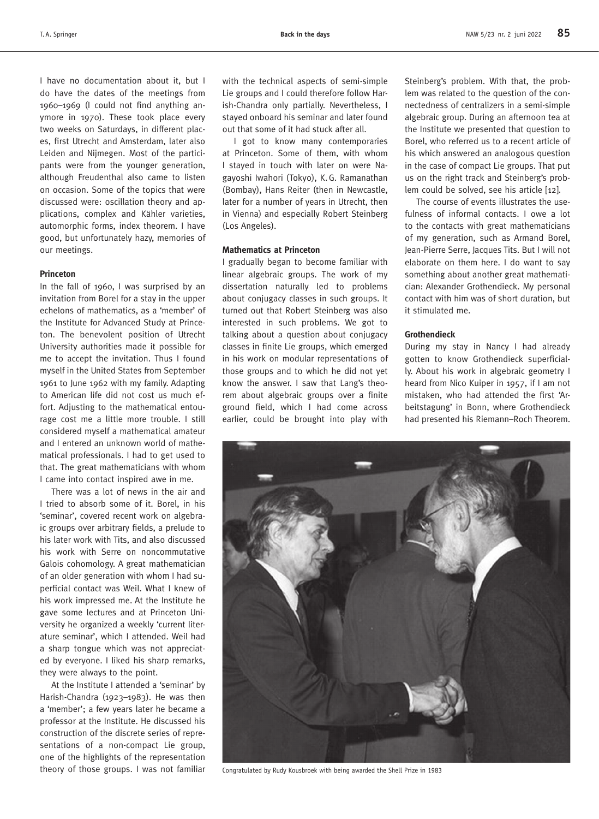I have no documentation about it, but I do have the dates of the meetings from 1960–1969 (I could not find anything anymore in 1970). These took place every two weeks on Saturdays, in different places, first Utrecht and Amsterdam, later also Leiden and Nijmegen. Most of the participants were from the younger generation, although Freudenthal also came to listen on occasion. Some of the topics that were discussed were: oscillation theory and applications, complex and Kähler varieties, automorphic forms, index theorem. I have good, but unfortunately hazy, memories of our meetings.

## **Princeton**

In the fall of 1960, I was surprised by an invitation from Borel for a stay in the upper echelons of mathematics, as a 'member' of the Institute for Advanced Study at Princeton. The benevolent position of Utrecht University authorities made it possible for me to accept the invitation. Thus I found myself in the United States from September 1961 to June 1962 with my family. Adapting to American life did not cost us much effort. Adjusting to the mathematical entourage cost me a little more trouble. I still considered myself a mathematical amateur and I entered an unknown world of mathematical professionals. I had to get used to that. The great mathematicians with whom I came into contact inspired awe in me.

There was a lot of news in the air and I tried to absorb some of it. Borel, in his 'seminar', covered recent work on algebraic groups over arbitrary fields, a prelude to his later work with Tits, and also discussed his work with Serre on noncommutative Galois cohomology. A great mathematician of an older generation with whom I had superficial contact was Weil. What I knew of his work impressed me. At the Institute he gave some lectures and at Princeton University he organized a weekly 'current literature seminar', which I attended. Weil had a sharp tongue which was not appreciated by everyone. I liked his sharp remarks, they were always to the point.

At the Institute I attended a 'seminar' by Harish-Chandra (1923–1983). He was then a 'member'; a few years later he became a professor at the Institute. He discussed his construction of the discrete series of representations of a non-compact Lie group, one of the highlights of the representation theory of those groups. I was not familiar Congratulated by Rudy Kousbroek with being awarded the Shell Prize in 1983

with the technical aspects of semi-simple Lie groups and I could therefore follow Harish-Chandra only partially. Nevertheless, I stayed onboard his seminar and later found out that some of it had stuck after all.

I got to know many contemporaries at Princeton. Some of them, with whom I stayed in touch with later on were Nagayoshi Iwahori (Tokyo), K.G. Ramanathan (Bombay), Hans Reiter (then in Newcastle, later for a number of years in Utrecht, then in Vienna) and especially Robert Steinberg (Los Angeles).

# **Mathematics at Princeton**

I gradually began to become familiar with linear algebraic groups. The work of my dissertation naturally led to problems about conjugacy classes in such groups. It turned out that Robert Steinberg was also interested in such problems. We got to talking about a question about conjugacy classes in finite Lie groups, which emerged in his work on modular representations of those groups and to which he did not yet know the answer. I saw that Lang's theorem about algebraic groups over a finite ground field, which I had come across earlier, could be brought into play with Steinberg's problem. With that, the problem was related to the question of the connectedness of centralizers in a semi-simple algebraic group. During an afternoon tea at the Institute we presented that question to Borel, who referred us to a recent article of his which answered an analogous question in the case of compact Lie groups. That put us on the right track and Steinberg's problem could be solved, see his article [12].

The course of events illustrates the usefulness of informal contacts. I owe a lot to the contacts with great mathematicians of my generation, such as Armand Borel, Jean-Pierre Serre, Jacques Tits. But I will not elaborate on them here. I do want to say something about another great mathematician: Alexander Grothendieck. My personal contact with him was of short duration, but it stimulated me.

#### **Grothendieck**

During my stay in Nancy I had already gotten to know Grothendieck superficially. About his work in algebraic geometry I heard from Nico Kuiper in 1957, if I am not mistaken, who had attended the first 'Arbeitstagung' in Bonn, where Grothendieck had presented his Riemann–Roch Theorem.

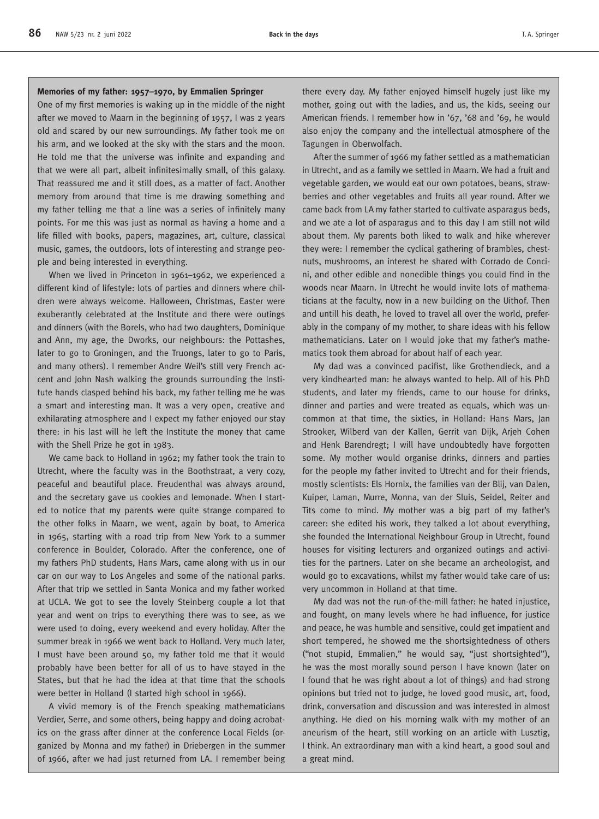#### **Memories of my father: 1957–1970, by Emmalien Springer**

One of my first memories is waking up in the middle of the night after we moved to Maarn in the beginning of 1957, I was 2 years old and scared by our new surroundings. My father took me on his arm, and we looked at the sky with the stars and the moon. He told me that the universe was infinite and expanding and that we were all part, albeit infinitesimally small, of this galaxy. That reassured me and it still does, as a matter of fact. Another memory from around that time is me drawing something and my father telling me that a line was a series of infinitely many points. For me this was just as normal as having a home and a life filled with books, papers, magazines, art, culture, classical music, games, the outdoors, lots of interesting and strange people and being interested in everything.

When we lived in Princeton in 1961–1962, we experienced a different kind of lifestyle: lots of parties and dinners where children were always welcome. Halloween, Christmas, Easter were exuberantly celebrated at the Institute and there were outings and dinners (with the Borels, who had two daughters, Dominique and Ann, my age, the Dworks, our neighbours: the Pottashes, later to go to Groningen, and the Truongs, later to go to Paris, and many others). I remember Andre Weil's still very French accent and John Nash walking the grounds surrounding the Institute hands clasped behind his back, my father telling me he was a smart and interesting man. It was a very open, creative and exhilarating atmosphere and I expect my father enjoyed our stay there: in his last will he left the Institute the money that came with the Shell Prize he got in 1983.

We came back to Holland in 1962; my father took the train to Utrecht, where the faculty was in the Boothstraat, a very cozy, peaceful and beautiful place. Freudenthal was always around, and the secretary gave us cookies and lemonade. When I started to notice that my parents were quite strange compared to the other folks in Maarn, we went, again by boat, to America in 1965, starting with a road trip from New York to a summer conference in Boulder, Colorado. After the conference, one of my fathers PhD students, Hans Mars, came along with us in our car on our way to Los Angeles and some of the national parks. After that trip we settled in Santa Monica and my father worked at UCLA. We got to see the lovely Steinberg couple a lot that year and went on trips to everything there was to see, as we were used to doing, every weekend and every holiday. After the summer break in 1966 we went back to Holland. Very much later, I must have been around 50, my father told me that it would probably have been better for all of us to have stayed in the States, but that he had the idea at that time that the schools were better in Holland (I started high school in 1966).

A vivid memory is of the French speaking mathematicians Verdier, Serre, and some others, being happy and doing acrobatics on the grass after dinner at the conference Local Fields (organized by Monna and my father) in Driebergen in the summer of 1966, after we had just returned from LA. I remember being

there every day. My father enjoyed himself hugely just like my mother, going out with the ladies, and us, the kids, seeing our American friends. I remember how in '67, '68 and '69, he would also enjoy the company and the intellectual atmosphere of the Tagungen in Oberwolfach.

After the summer of 1966 my father settled as a mathematician in Utrecht, and as a family we settled in Maarn. We had a fruit and vegetable garden, we would eat our own potatoes, beans, strawberries and other vegetables and fruits all year round. After we came back from LA my father started to cultivate asparagus beds, and we ate a lot of asparagus and to this day I am still not wild about them. My parents both liked to walk and hike wherever they were: I remember the cyclical gathering of brambles, chestnuts, mushrooms, an interest he shared with Corrado de Concini, and other edible and nonedible things you could find in the woods near Maarn. In Utrecht he would invite lots of mathematicians at the faculty, now in a new building on the Uithof. Then and untill his death, he loved to travel all over the world, preferably in the company of my mother, to share ideas with his fellow mathematicians. Later on I would joke that my father's mathematics took them abroad for about half of each year.

My dad was a convinced pacifist, like Grothendieck, and a very kindhearted man: he always wanted to help. All of his PhD students, and later my friends, came to our house for drinks, dinner and parties and were treated as equals, which was uncommon at that time, the sixties, in Holland: Hans Mars, Jan Strooker, Wilberd van der Kallen, Gerrit van Dijk, Arjeh Cohen and Henk Barendregt; I will have undoubtedly have forgotten some. My mother would organise drinks, dinners and parties for the people my father invited to Utrecht and for their friends, mostly scientists: Els Hornix, the families van der Blij, van Dalen, Kuiper, Laman, Murre, Monna, van der Sluis, Seidel, Reiter and Tits come to mind. My mother was a big part of my father's career: she edited his work, they talked a lot about everything, she founded the International Neighbour Group in Utrecht, found houses for visiting lecturers and organized outings and activities for the partners. Later on she became an archeologist, and would go to excavations, whilst my father would take care of us: very uncommon in Holland at that time.

My dad was not the run-of-the-mill father: he hated injustice, and fought, on many levels where he had influence, for justice and peace, he was humble and sensitive, could get impatient and short tempered, he showed me the shortsightedness of others ("not stupid, Emmalien," he would say, "just shortsighted"), he was the most morally sound person I have known (later on I found that he was right about a lot of things) and had strong opinions but tried not to judge, he loved good music, art, food, drink, conversation and discussion and was interested in almost anything. He died on his morning walk with my mother of an aneurism of the heart, still working on an article with Lusztig, I think. An extraordinary man with a kind heart, a good soul and a great mind.